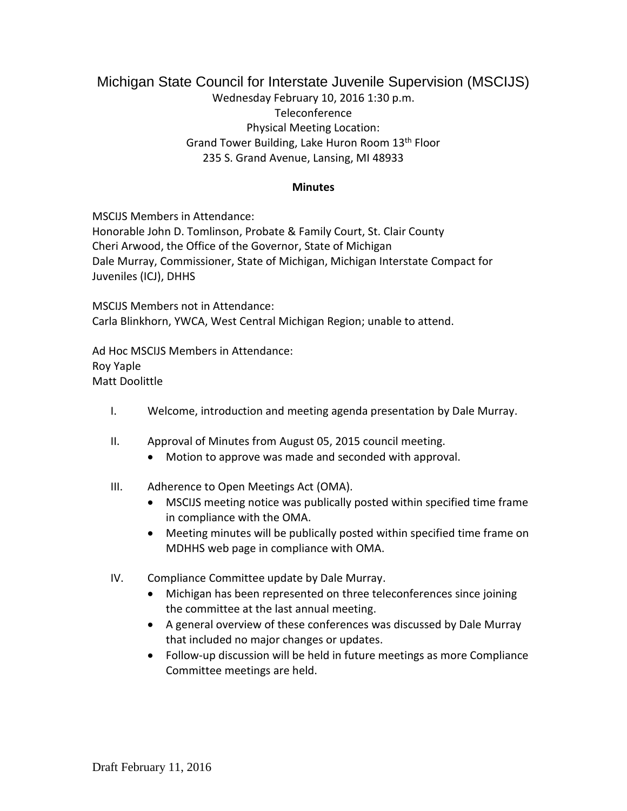## Michigan State Council for Interstate Juvenile Supervision (MSCIJS) Wednesday February 10, 2016 1:30 p.m. Teleconference Physical Meeting Location: Grand Tower Building, Lake Huron Room 13th Floor 235 S. Grand Avenue, Lansing, MI 48933

## **Minutes**

MSCIJS Members in Attendance: Honorable John D. Tomlinson, Probate & Family Court, St. Clair County Cheri Arwood, the Office of the Governor, State of Michigan Dale Murray, Commissioner, State of Michigan, Michigan Interstate Compact for Juveniles (ICJ), DHHS

MSCIJS Members not in Attendance: Carla Blinkhorn, YWCA, West Central Michigan Region; unable to attend.

Ad Hoc MSCIJS Members in Attendance: Roy Yaple Matt Doolittle

- I. Welcome, introduction and meeting agenda presentation by Dale Murray.
- II. Approval of Minutes from August 05, 2015 council meeting.
	- Motion to approve was made and seconded with approval.
- III. Adherence to Open Meetings Act (OMA).
	- MSCIJS meeting notice was publically posted within specified time frame in compliance with the OMA.
	- Meeting minutes will be publically posted within specified time frame on MDHHS web page in compliance with OMA.
- IV. Compliance Committee update by Dale Murray.
	- Michigan has been represented on three teleconferences since joining the committee at the last annual meeting.
	- A general overview of these conferences was discussed by Dale Murray that included no major changes or updates.
	- Follow-up discussion will be held in future meetings as more Compliance Committee meetings are held.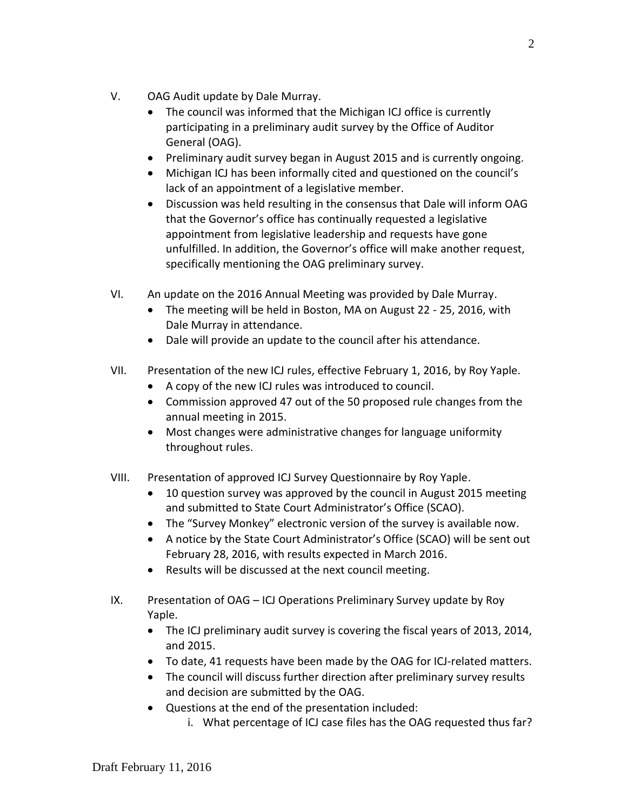- V. OAG Audit update by Dale Murray.
	- The council was informed that the Michigan ICJ office is currently participating in a preliminary audit survey by the Office of Auditor General (OAG).
	- Preliminary audit survey began in August 2015 and is currently ongoing.
	- Michigan ICJ has been informally cited and questioned on the council's lack of an appointment of a legislative member.
	- Discussion was held resulting in the consensus that Dale will inform OAG that the Governor's office has continually requested a legislative appointment from legislative leadership and requests have gone unfulfilled. In addition, the Governor's office will make another request, specifically mentioning the OAG preliminary survey.
- VI. An update on the 2016 Annual Meeting was provided by Dale Murray.
	- The meeting will be held in Boston, MA on August 22 25, 2016, with Dale Murray in attendance.
	- Dale will provide an update to the council after his attendance.
- VII. Presentation of the new ICJ rules, effective February 1, 2016, by Roy Yaple.
	- A copy of the new ICJ rules was introduced to council.
	- Commission approved 47 out of the 50 proposed rule changes from the annual meeting in 2015.
	- Most changes were administrative changes for language uniformity throughout rules.
- VIII. Presentation of approved ICJ Survey Questionnaire by Roy Yaple.
	- 10 question survey was approved by the council in August 2015 meeting and submitted to State Court Administrator's Office (SCAO).
	- The "Survey Monkey" electronic version of the survey is available now.
	- A notice by the State Court Administrator's Office (SCAO) will be sent out February 28, 2016, with results expected in March 2016.
	- Results will be discussed at the next council meeting.
- IX. Presentation of OAG ICJ Operations Preliminary Survey update by Roy Yaple.
	- The ICJ preliminary audit survey is covering the fiscal years of 2013, 2014, and 2015.
	- To date, 41 requests have been made by the OAG for ICJ-related matters.
	- The council will discuss further direction after preliminary survey results and decision are submitted by the OAG.
	- Questions at the end of the presentation included:
		- i. What percentage of ICJ case files has the OAG requested thus far?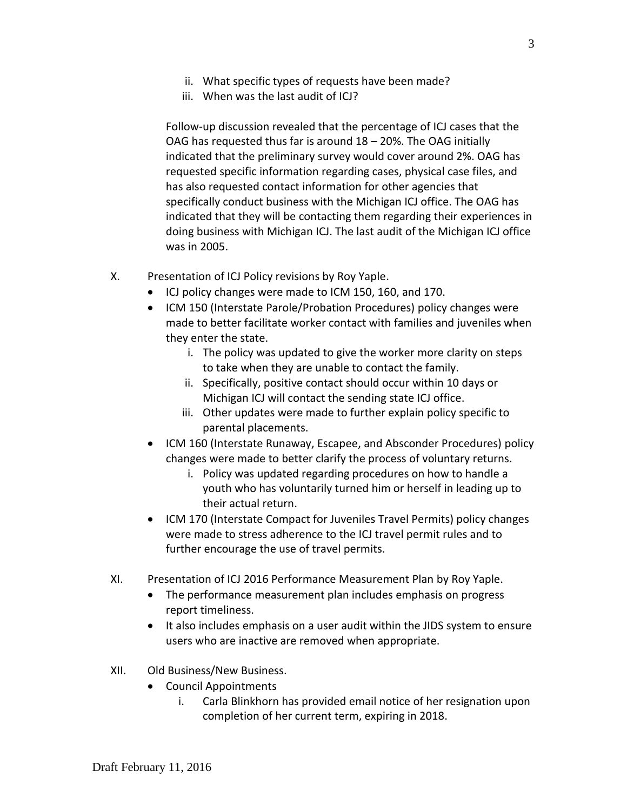- ii. What specific types of requests have been made?
- iii. When was the last audit of ICJ?

Follow-up discussion revealed that the percentage of ICJ cases that the OAG has requested thus far is around 18 – 20%. The OAG initially indicated that the preliminary survey would cover around 2%. OAG has requested specific information regarding cases, physical case files, and has also requested contact information for other agencies that specifically conduct business with the Michigan ICJ office. The OAG has indicated that they will be contacting them regarding their experiences in doing business with Michigan ICJ. The last audit of the Michigan ICJ office was in 2005.

- X. Presentation of ICJ Policy revisions by Roy Yaple.
	- ICJ policy changes were made to ICM 150, 160, and 170.
	- ICM 150 (Interstate Parole/Probation Procedures) policy changes were made to better facilitate worker contact with families and juveniles when they enter the state.
		- i. The policy was updated to give the worker more clarity on steps to take when they are unable to contact the family.
		- ii. Specifically, positive contact should occur within 10 days or Michigan ICJ will contact the sending state ICJ office.
		- iii. Other updates were made to further explain policy specific to parental placements.
	- ICM 160 (Interstate Runaway, Escapee, and Absconder Procedures) policy changes were made to better clarify the process of voluntary returns.
		- i. Policy was updated regarding procedures on how to handle a youth who has voluntarily turned him or herself in leading up to their actual return.
	- ICM 170 (Interstate Compact for Juveniles Travel Permits) policy changes were made to stress adherence to the ICJ travel permit rules and to further encourage the use of travel permits.
- XI. Presentation of ICJ 2016 Performance Measurement Plan by Roy Yaple.
	- The performance measurement plan includes emphasis on progress report timeliness.
	- It also includes emphasis on a user audit within the JIDS system to ensure users who are inactive are removed when appropriate.
- XII. Old Business/New Business.
	- Council Appointments
		- i. Carla Blinkhorn has provided email notice of her resignation upon completion of her current term, expiring in 2018.